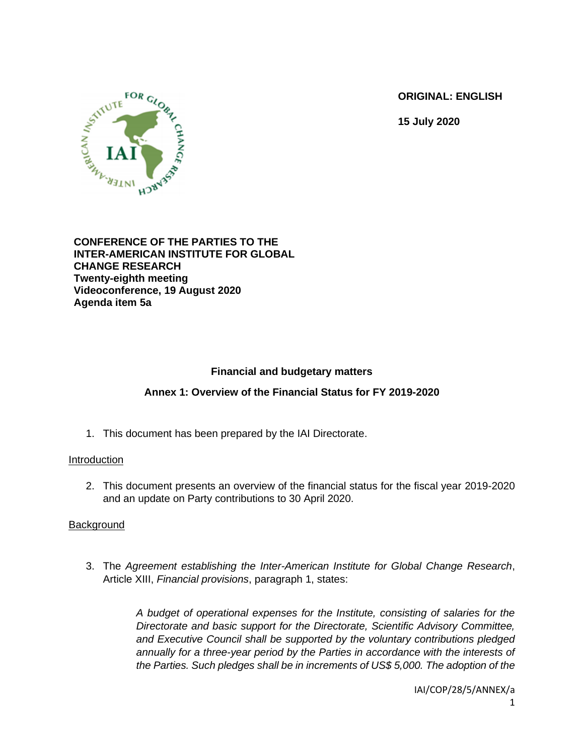**ORIGINAL: ENGLISH**

**15 July 2020**



### **CONFERENCE OF THE PARTIES TO THE INTER-AMERICAN INSTITUTE FOR GLOBAL CHANGE RESEARCH Twenty-eighth meeting Videoconference, 19 August 2020 Agenda item 5a**

# **Financial and budgetary matters**

# **Annex 1: Overview of the Financial Status for FY 2019-2020**

1. This document has been prepared by the IAI Directorate.

## Introduction

2. This document presents an overview of the financial status for the fiscal year 2019-2020 and an update on Party contributions to 30 April 2020.

## **Background**

3. The *Agreement establishing the Inter-American Institute for Global Change Research*, Article XIII, *Financial provisions*, paragraph 1, states:

> *A budget of operational expenses for the Institute, consisting of salaries for the Directorate and basic support for the Directorate, Scientific Advisory Committee, and Executive Council shall be supported by the voluntary contributions pledged annually for a three-year period by the Parties in accordance with the interests of the Parties. Such pledges shall be in increments of US\$ 5,000. The adoption of the*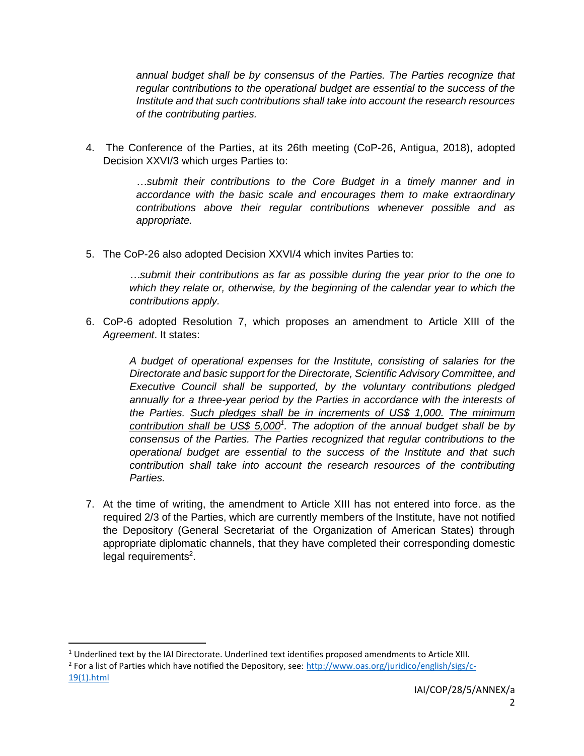*annual budget shall be by consensus of the Parties. The Parties recognize that regular contributions to the operational budget are essential to the success of the Institute and that such contributions shall take into account the research resources of the contributing parties.*

4. The Conference of the Parties, at its 26th meeting (CoP-26, Antigua, 2018), adopted Decision XXVI/3 which urges Parties to:

> *…submit their contributions to the Core Budget in a timely manner and in accordance with the basic scale and encourages them to make extraordinary contributions above their regular contributions whenever possible and as appropriate.*

5. The CoP-26 also adopted Decision XXVI/4 which invites Parties to:

*…submit their contributions as far as possible during the year prior to the one to which they relate or, otherwise, by the beginning of the calendar year to which the contributions apply.*

6. CoP-6 adopted Resolution 7, which proposes an amendment to Article XIII of the *Agreement*. It states:

> *A budget of operational expenses for the Institute, consisting of salaries for the Directorate and basic support for the Directorate, Scientific Advisory Committee, and Executive Council shall be supported, by the voluntary contributions pledged annually for a three-year period by the Parties in accordance with the interests of the Parties. Such pledges shall be in increments of US\$ 1,000. The minimum contribution shall be US\$ 5,000<sup>1</sup> . The adoption of the annual budget shall be by consensus of the Parties. The Parties recognized that regular contributions to the operational budget are essential to the success of the Institute and that such contribution shall take into account the research resources of the contributing Parties.*

7. At the time of writing, the amendment to Article XIII has not entered into force. as the required 2/3 of the Parties, which are currently members of the Institute, have not notified the Depository (General Secretariat of the Organization of American States) through appropriate diplomatic channels, that they have completed their corresponding domestic legal requirements<sup>2</sup>.

 $1$  Underlined text by the IAI Directorate. Underlined text identifies proposed amendments to Article XIII.

<sup>&</sup>lt;sup>2</sup> For a list of Parties which have notified the Depository, see: [http://www.oas.org/juridico/english/sigs/c-](http://www.oas.org/juridico/english/sigs/c-19(1).html)[19\(1\).html](http://www.oas.org/juridico/english/sigs/c-19(1).html)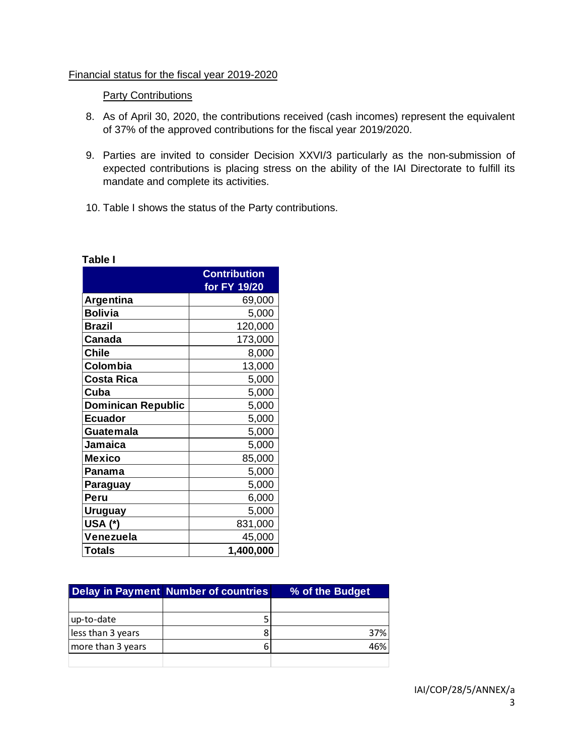#### Financial status for the fiscal year 2019-2020

#### **Party Contributions**

- 8. As of April 30, 2020, the contributions received (cash incomes) represent the equivalent of 37% of the approved contributions for the fiscal year 2019/2020.
- 9. Parties are invited to consider Decision XXVI/3 particularly as the non-submission of expected contributions is placing stress on the ability of the IAI Directorate to fulfill its mandate and complete its activities.
- 10. Table I shows the status of the Party contributions.

|                           | <b>Contribution</b> |
|---------------------------|---------------------|
|                           | for FY 19/20        |
| <b>Argentina</b>          | 69,000              |
| <b>Bolivia</b>            | 5,000               |
| <b>Brazil</b>             | 120,000             |
| <b>Canada</b>             | 173,000             |
| <b>Chile</b>              | 8,000               |
| Colombia                  | 13,000              |
| <b>Costa Rica</b>         | 5,000               |
| Cuba                      | 5,000               |
| <b>Dominican Republic</b> | 5,000               |
| <b>Ecuador</b>            | 5,000               |
| Guatemala                 | 5,000               |
| Jamaica                   | 5,000               |
| Mexico                    | 85,000              |
| Panama                    | 5,000               |
| Paraguay                  | 5,000               |
| Peru                      | 6,000               |
| <b>Uruguay</b>            | 5,000               |
| USA (*)                   | 831,000             |
| Venezuela                 | 45,000              |
| <b>Totals</b>             | 1,400,000           |

|                   | Delay in Payment Number of countries | % of the Budget |  |
|-------------------|--------------------------------------|-----------------|--|
|                   |                                      |                 |  |
| up-to-date        |                                      |                 |  |
| less than 3 years |                                      | 37%             |  |
| more than 3 years |                                      | 46%             |  |
|                   |                                      |                 |  |

### **Table I**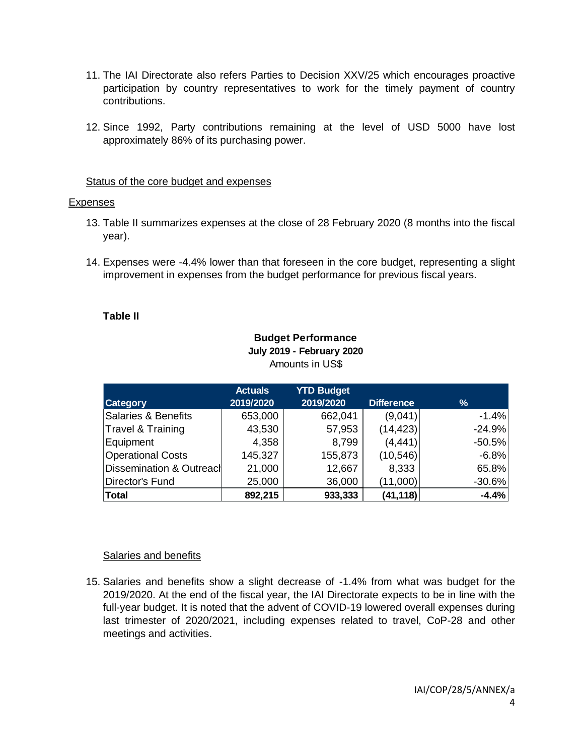- 11. The IAI Directorate also refers Parties to Decision XXV/25 which encourages proactive participation by country representatives to work for the timely payment of country contributions.
- 12. Since 1992, Party contributions remaining at the level of USD 5000 have lost approximately 86% of its purchasing power.

### Status of the core budget and expenses

### Expenses

- 13. Table II summarizes expenses at the close of 28 February 2020 (8 months into the fiscal year).
- 14. Expenses were -4.4% lower than that foreseen in the core budget, representing a slight improvement in expenses from the budget performance for previous fiscal years.

### **Table II**

### **Budget Performance July 2019 - February 2020** Amounts in US\$

| <b>Category</b>          | <b>Actuals</b><br>2019/2020 | <b>YTD Budget</b><br>2019/2020 | <b>Difference</b> | %        |
|--------------------------|-----------------------------|--------------------------------|-------------------|----------|
| Salaries & Benefits      | 653,000                     | 662,041                        | (9,041)           | $-1.4%$  |
| Travel & Training        | 43,530                      | 57,953                         | (14, 423)         | $-24.9%$ |
| Equipment                | 4,358                       | 8,799                          | (4, 441)          | $-50.5%$ |
| <b>Operational Costs</b> | 145,327                     | 155,873                        | (10, 546)         | $-6.8%$  |
| Dissemination & Outreacl | 21,000                      | 12,667                         | 8,333             | 65.8%    |
| Director's Fund          | 25,000                      | 36,000                         | (11,000)          | $-30.6%$ |
| Total                    | 892,215                     | 933,333                        | (41, 118)         | $-4.4%$  |

## Salaries and benefits

15. Salaries and benefits show a slight decrease of -1.4% from what was budget for the 2019/2020. At the end of the fiscal year, the IAI Directorate expects to be in line with the full-year budget. It is noted that the advent of COVID-19 lowered overall expenses during last trimester of 2020/2021, including expenses related to travel, CoP-28 and other meetings and activities.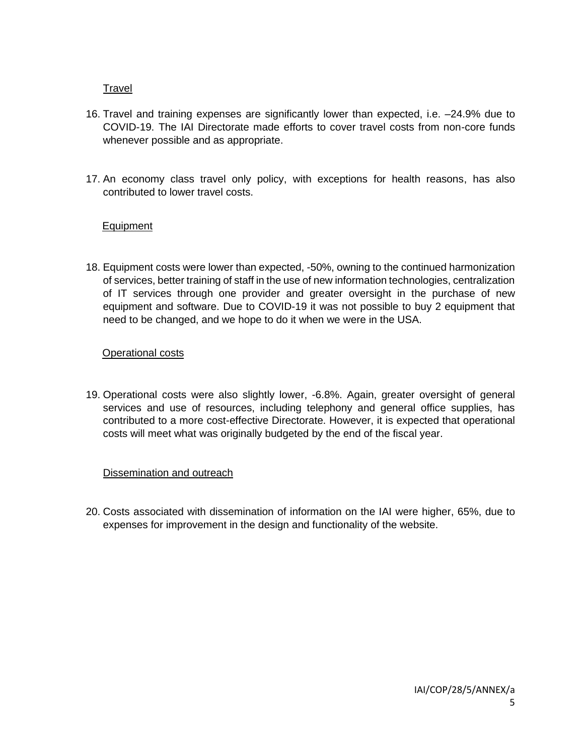## Travel

- 16. Travel and training expenses are significantly lower than expected, i.e. –24.9% due to COVID-19. The IAI Directorate made efforts to cover travel costs from non-core funds whenever possible and as appropriate.
- 17. An economy class travel only policy, with exceptions for health reasons, has also contributed to lower travel costs.

## Equipment

18. Equipment costs were lower than expected, -50%, owning to the continued harmonization of services, better training of staff in the use of new information technologies, centralization of IT services through one provider and greater oversight in the purchase of new equipment and software. Due to COVID-19 it was not possible to buy 2 equipment that need to be changed, and we hope to do it when we were in the USA.

## Operational costs

19. Operational costs were also slightly lower, -6.8%. Again, greater oversight of general services and use of resources, including telephony and general office supplies, has contributed to a more cost-effective Directorate. However, it is expected that operational costs will meet what was originally budgeted by the end of the fiscal year.

## Dissemination and outreach

20. Costs associated with dissemination of information on the IAI were higher, 65%, due to expenses for improvement in the design and functionality of the website.